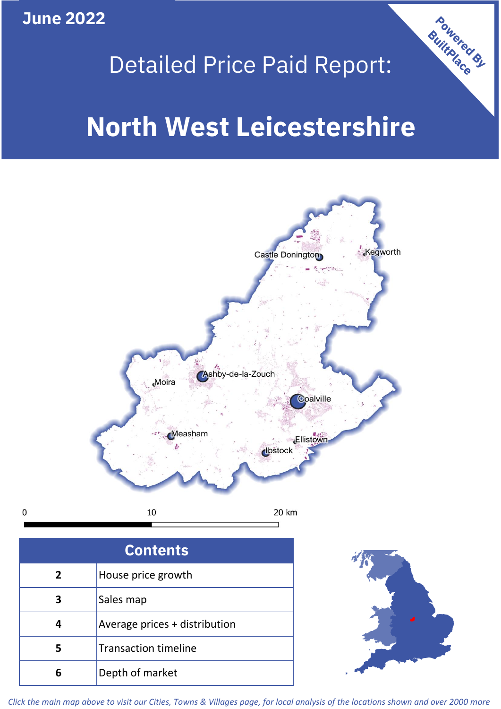**June 2022**

 $\mathbf 0$ 

# Detailed Price Paid Report:

# **North West Leicestershire**



| <b>Contents</b> |                               |  |  |
|-----------------|-------------------------------|--|--|
| $\mathbf{2}$    | House price growth            |  |  |
| 3               | Sales map                     |  |  |
|                 | Average prices + distribution |  |  |
| 5               | <b>Transaction timeline</b>   |  |  |
|                 | Depth of market               |  |  |



Powered By

*Click the main map above to visit our Cities, Towns & Villages page, for local analysis of the locations shown and over 2000 more*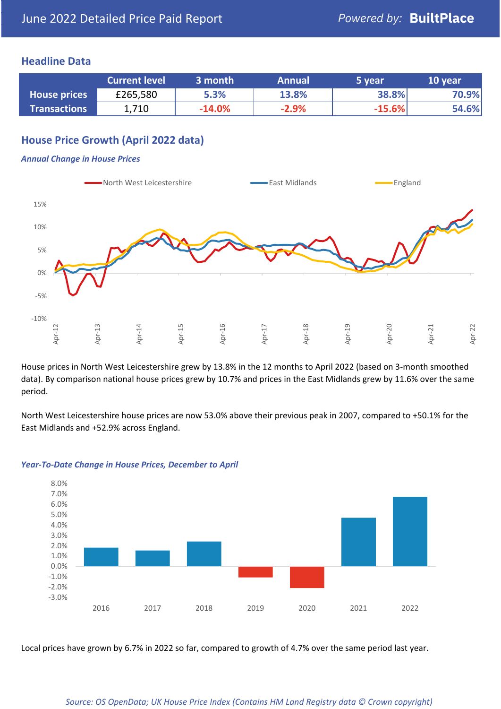#### **Headline Data**

|                     | <b>Current level</b> | 3 month  | <b>Annual</b> | 5 year   | 10 year |
|---------------------|----------------------|----------|---------------|----------|---------|
| <b>House prices</b> | £265,580             | 5.3%     | 13.8%         | 38.8%    | 70.9%   |
| <b>Transactions</b> | 1,710                | $-14.0%$ | $-2.9%$       | $-15.6%$ | 54.6%   |

# **House Price Growth (April 2022 data)**

#### *Annual Change in House Prices*



House prices in North West Leicestershire grew by 13.8% in the 12 months to April 2022 (based on 3-month smoothed data). By comparison national house prices grew by 10.7% and prices in the East Midlands grew by 11.6% over the same period.

North West Leicestershire house prices are now 53.0% above their previous peak in 2007, compared to +50.1% for the East Midlands and +52.9% across England.



#### *Year-To-Date Change in House Prices, December to April*

Local prices have grown by 6.7% in 2022 so far, compared to growth of 4.7% over the same period last year.

#### *Source: OS OpenData; UK House Price Index (Contains HM Land Registry data © Crown copyright)*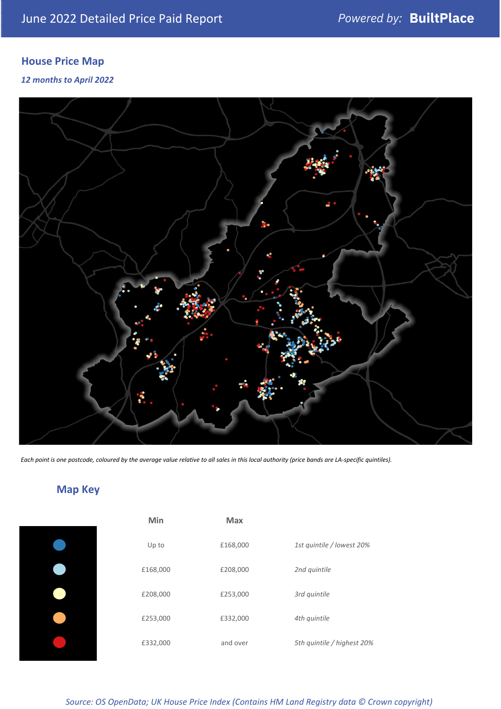# **House Price Map**

*12 months to April 2022*



*Each point is one postcode, coloured by the average value relative to all sales in this local authority (price bands are LA-specific quintiles).*

# **Map Key**

| Min      | Max      |                            |
|----------|----------|----------------------------|
| Up to    | £168,000 | 1st quintile / lowest 20%  |
| £168,000 | £208,000 | 2nd quintile               |
| £208,000 | £253,000 | 3rd quintile               |
| £253,000 | £332,000 | 4th quintile               |
| £332,000 | and over | 5th quintile / highest 20% |

*Source: OS OpenData; UK House Price Index (Contains HM Land Registry data © Crown copyright)*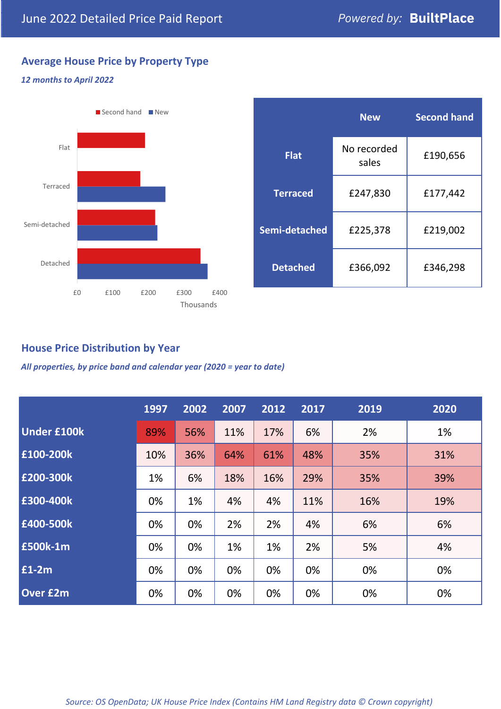# **Average House Price by Property Type**

# *12 months to April 2022*



|                 | <b>New</b>           | <b>Second hand</b> |  |
|-----------------|----------------------|--------------------|--|
| <b>Flat</b>     | No recorded<br>sales | £190,656           |  |
| <b>Terraced</b> | £247,830             | £177,442           |  |
| Semi-detached   | £225,378             | £219,002           |  |
| <b>Detached</b> | £366,092             | £346,298           |  |

## **House Price Distribution by Year**

*All properties, by price band and calendar year (2020 = year to date)*

|                    | 1997 | 2002 | 2007 | 2012 | 2017 | 2019 | 2020 |
|--------------------|------|------|------|------|------|------|------|
| <b>Under £100k</b> | 89%  | 56%  | 11%  | 17%  | 6%   | 2%   | 1%   |
| £100-200k          | 10%  | 36%  | 64%  | 61%  | 48%  | 35%  | 31%  |
| £200-300k          | 1%   | 6%   | 18%  | 16%  | 29%  | 35%  | 39%  |
| £300-400k          | 0%   | 1%   | 4%   | 4%   | 11%  | 16%  | 19%  |
| £400-500k          | 0%   | 0%   | 2%   | 2%   | 4%   | 6%   | 6%   |
| £500k-1m           | 0%   | 0%   | 1%   | 1%   | 2%   | 5%   | 4%   |
| £1-2m              | 0%   | 0%   | 0%   | 0%   | 0%   | 0%   | 0%   |
| <b>Over £2m</b>    | 0%   | 0%   | 0%   | 0%   | 0%   | 0%   | 0%   |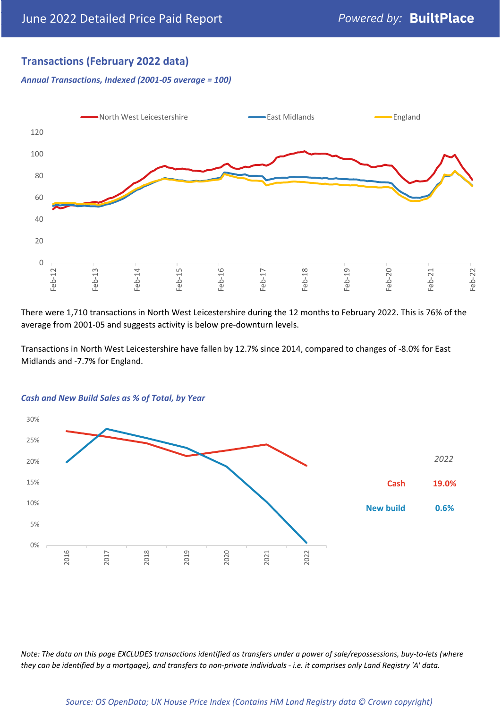## **Transactions (February 2022 data)**

*Annual Transactions, Indexed (2001-05 average = 100)*



There were 1,710 transactions in North West Leicestershire during the 12 months to February 2022. This is 76% of the average from 2001-05 and suggests activity is below pre-downturn levels.

Transactions in North West Leicestershire have fallen by 12.7% since 2014, compared to changes of -8.0% for East Midlands and -7.7% for England.



#### *Cash and New Build Sales as % of Total, by Year*

*Note: The data on this page EXCLUDES transactions identified as transfers under a power of sale/repossessions, buy-to-lets (where they can be identified by a mortgage), and transfers to non-private individuals - i.e. it comprises only Land Registry 'A' data.*